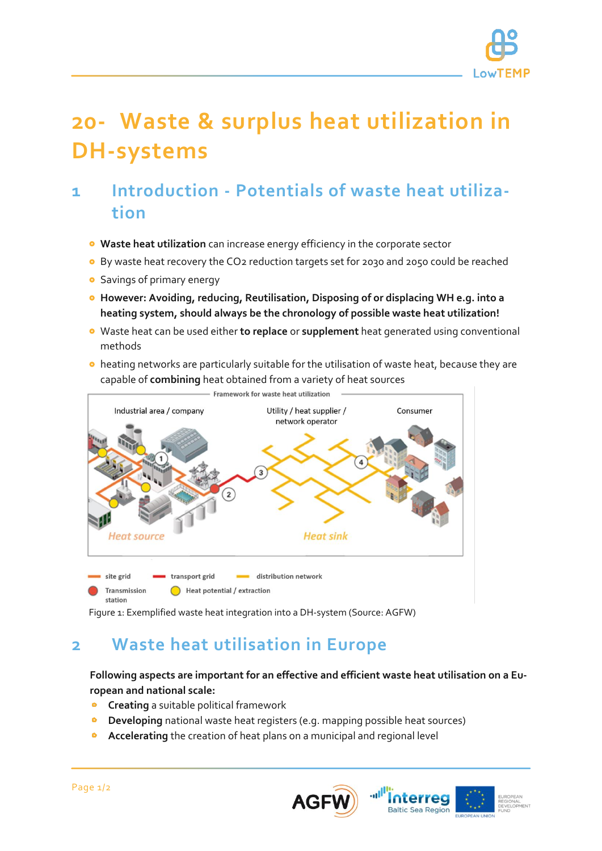

# **20- Waste & surplus heat utilization in DH-systems**

### **1 Introduction - Potentials of waste heat utilization**

- **Waste heat utilization** can increase energy efficiency in the corporate sector
- By waste heat recovery the CO2 reduction targets set for 2030 and 2050 could be reached
- **•** Savings of primary energy
- **However: Avoiding, reducing, Reutilisation, Disposing of or displacing WH e.g. into a heating system, should always be the chronology of possible waste heat utilization!**
- Waste heat can be used either **to replace** or **supplement** heat generated using conventional methods
- heating networks are particularly suitable for the utilisation of waste heat, because they are capable of **combining** heat obtained from a variety of heat sources



station

Figure 1: Exemplified waste heat integration into a DH-system (Source: AGFW)

### **2 Waste heat utilisation in Europe**

#### **Following aspects are important for an effective and efficient waste heat utilisation on a European and national scale:**

- $\bullet$ **Creating** a suitable political framework
- $\bullet$ **Developing** national waste heat registers (e.g. mapping possible heat sources)
- **Accelerating** the creation of heat plans on a municipal and regional level